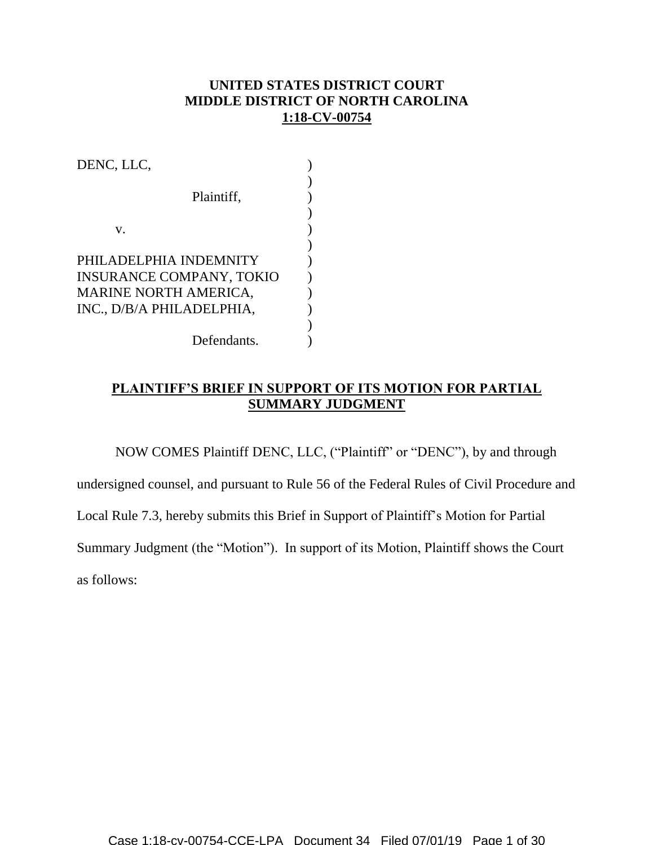## **UNITED STATES DISTRICT COURT MIDDLE DISTRICT OF NORTH CAROLINA 1:18-CV-00754**

| DENC, LLC,                      |  |
|---------------------------------|--|
|                                 |  |
| Plaintiff,                      |  |
|                                 |  |
| V.                              |  |
|                                 |  |
| PHILADELPHIA INDEMNITY          |  |
| <b>INSURANCE COMPANY, TOKIO</b> |  |
| <b>MARINE NORTH AMERICA,</b>    |  |
| INC., D/B/A PHILADELPHIA,       |  |
|                                 |  |
| Defendants.                     |  |

# **PLAINTIFF'S BRIEF IN SUPPORT OF ITS MOTION FOR PARTIAL SUMMARY JUDGMENT**

NOW COMES Plaintiff DENC, LLC, ("Plaintiff" or "DENC"), by and through

undersigned counsel, and pursuant to Rule 56 of the Federal Rules of Civil Procedure and

Local Rule 7.3, hereby submits this Brief in Support of Plaintiff's Motion for Partial

Summary Judgment (the "Motion"). In support of its Motion, Plaintiff shows the Court

as follows: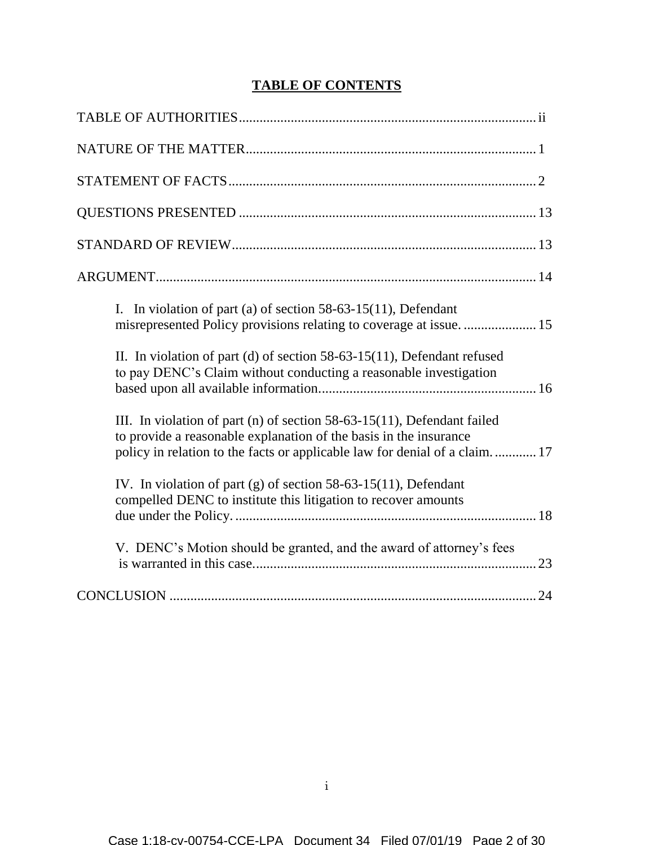# **TABLE OF CONTENTS**

| I. In violation of part (a) of section $58-63-15(11)$ , Defendant                                                                                                                                                          |
|----------------------------------------------------------------------------------------------------------------------------------------------------------------------------------------------------------------------------|
| II. In violation of part (d) of section 58-63-15(11), Defendant refused<br>to pay DENC's Claim without conducting a reasonable investigation                                                                               |
| III. In violation of part (n) of section 58-63-15(11), Defendant failed<br>to provide a reasonable explanation of the basis in the insurance<br>policy in relation to the facts or applicable law for denial of a claim 17 |
| IV. In violation of part (g) of section 58-63-15(11), Defendant<br>compelled DENC to institute this litigation to recover amounts                                                                                          |
| V. DENC's Motion should be granted, and the award of attorney's fees                                                                                                                                                       |
|                                                                                                                                                                                                                            |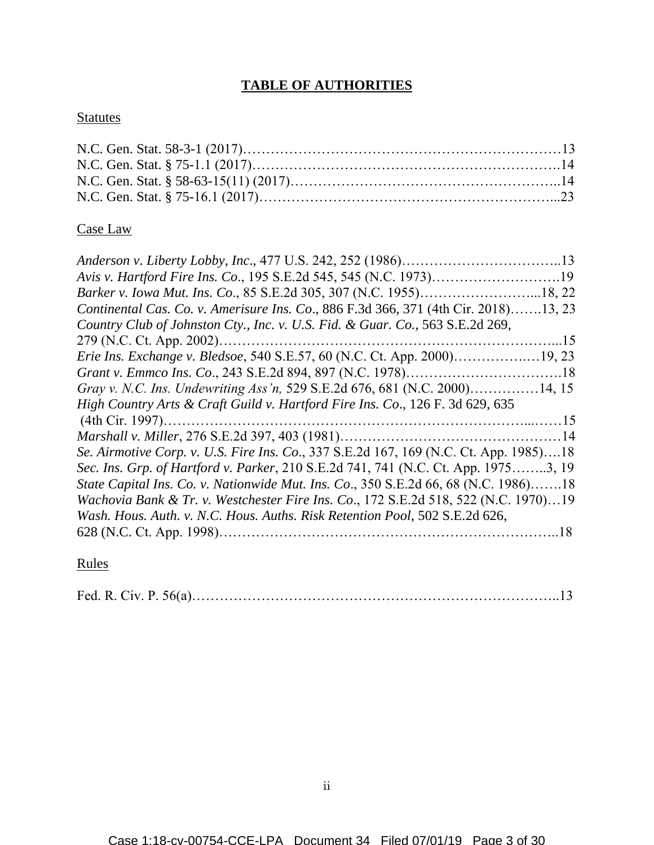# **TABLE OF AUTHORITIES**

# **Statutes**

# Case Law

# Rules

|--|--|--|--|--|--|--|--|--|--|--|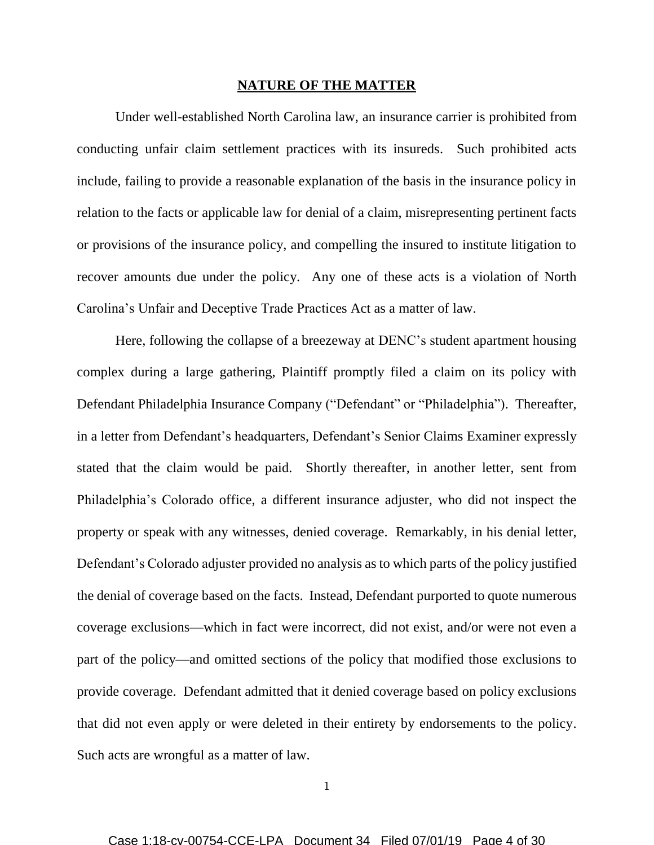#### **NATURE OF THE MATTER**

Under well-established North Carolina law, an insurance carrier is prohibited from conducting unfair claim settlement practices with its insureds. Such prohibited acts include, failing to provide a reasonable explanation of the basis in the insurance policy in relation to the facts or applicable law for denial of a claim, misrepresenting pertinent facts or provisions of the insurance policy, and compelling the insured to institute litigation to recover amounts due under the policy. Any one of these acts is a violation of North Carolina's Unfair and Deceptive Trade Practices Act as a matter of law.

Here, following the collapse of a breezeway at DENC's student apartment housing complex during a large gathering, Plaintiff promptly filed a claim on its policy with Defendant Philadelphia Insurance Company ("Defendant" or "Philadelphia"). Thereafter, in a letter from Defendant's headquarters, Defendant's Senior Claims Examiner expressly stated that the claim would be paid. Shortly thereafter, in another letter, sent from Philadelphia's Colorado office, a different insurance adjuster, who did not inspect the property or speak with any witnesses, denied coverage. Remarkably, in his denial letter, Defendant's Colorado adjuster provided no analysis as to which parts of the policy justified the denial of coverage based on the facts. Instead, Defendant purported to quote numerous coverage exclusions—which in fact were incorrect, did not exist, and/or were not even a part of the policy—and omitted sections of the policy that modified those exclusions to provide coverage. Defendant admitted that it denied coverage based on policy exclusions that did not even apply or were deleted in their entirety by endorsements to the policy. Such acts are wrongful as a matter of law.

1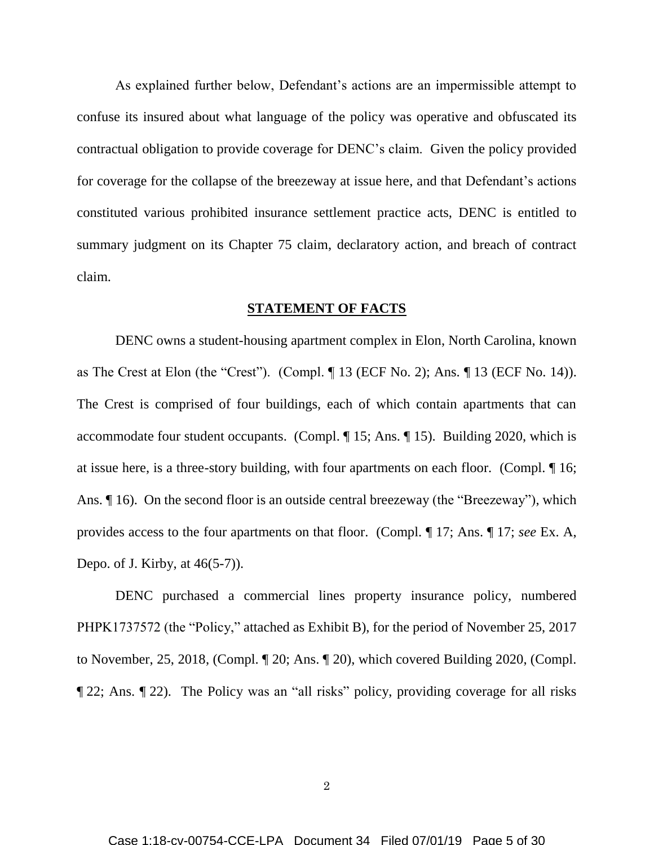As explained further below, Defendant's actions are an impermissible attempt to confuse its insured about what language of the policy was operative and obfuscated its contractual obligation to provide coverage for DENC's claim. Given the policy provided for coverage for the collapse of the breezeway at issue here, and that Defendant's actions constituted various prohibited insurance settlement practice acts, DENC is entitled to summary judgment on its Chapter 75 claim, declaratory action, and breach of contract claim.

#### **STATEMENT OF FACTS**

DENC owns a student-housing apartment complex in Elon, North Carolina, known as The Crest at Elon (the "Crest"). (Compl. ¶ 13 (ECF No. 2); Ans. ¶ 13 (ECF No. 14)). The Crest is comprised of four buildings, each of which contain apartments that can accommodate four student occupants. (Compl. ¶ 15; Ans. ¶ 15). Building 2020, which is at issue here, is a three-story building, with four apartments on each floor. (Compl. ¶ 16; Ans. ¶ 16). On the second floor is an outside central breezeway (the "Breezeway"), which provides access to the four apartments on that floor. (Compl. ¶ 17; Ans. ¶ 17; *see* Ex. A, Depo. of J. Kirby, at 46(5-7)).

DENC purchased a commercial lines property insurance policy, numbered PHPK1737572 (the "Policy," attached as Exhibit B), for the period of November 25, 2017 to November, 25, 2018, (Compl. ¶ 20; Ans. ¶ 20), which covered Building 2020, (Compl. ¶ 22; Ans. ¶ 22). The Policy was an "all risks" policy, providing coverage for all risks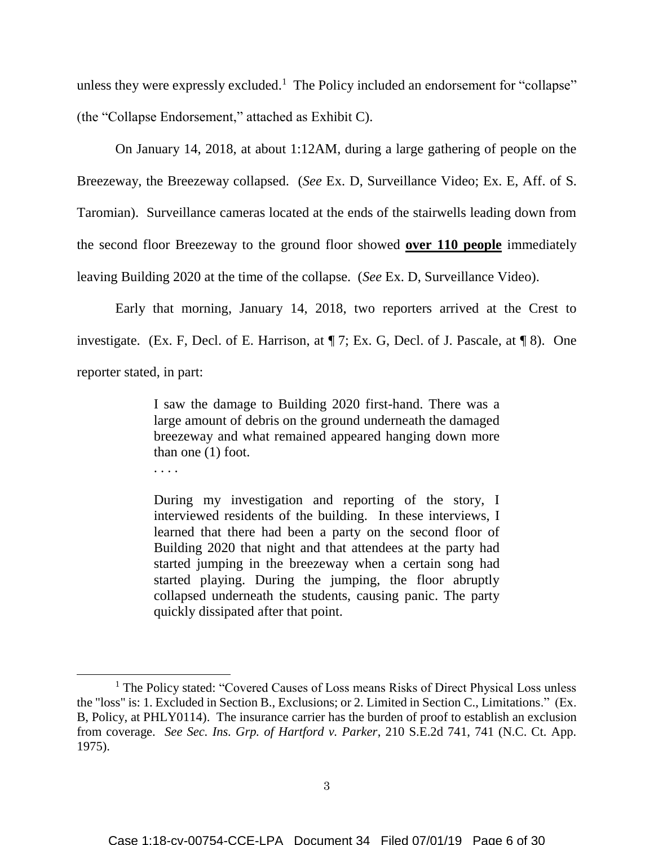unless they were expressly excluded.<sup>1</sup> The Policy included an endorsement for "collapse" (the "Collapse Endorsement," attached as Exhibit C).

On January 14, 2018, at about 1:12AM, during a large gathering of people on the Breezeway, the Breezeway collapsed. (*See* Ex. D, Surveillance Video; Ex. E, Aff. of S. Taromian). Surveillance cameras located at the ends of the stairwells leading down from the second floor Breezeway to the ground floor showed **over 110 people** immediately leaving Building 2020 at the time of the collapse. (*See* Ex. D, Surveillance Video).

Early that morning, January 14, 2018, two reporters arrived at the Crest to investigate. (Ex. F, Decl. of E. Harrison, at ¶ 7; Ex. G, Decl. of J. Pascale, at ¶ 8). One reporter stated, in part:

> I saw the damage to Building 2020 first-hand. There was a large amount of debris on the ground underneath the damaged breezeway and what remained appeared hanging down more than one (1) foot.

. . . .

During my investigation and reporting of the story, I interviewed residents of the building. In these interviews, I learned that there had been a party on the second floor of Building 2020 that night and that attendees at the party had started jumping in the breezeway when a certain song had started playing. During the jumping, the floor abruptly collapsed underneath the students, causing panic. The party quickly dissipated after that point.

<sup>&</sup>lt;sup>1</sup> The Policy stated: "Covered Causes of Loss means Risks of Direct Physical Loss unless the "loss" is: 1. Excluded in Section B., Exclusions; or 2. Limited in Section C., Limitations." (Ex. B, Policy, at PHLY0114). The insurance carrier has the burden of proof to establish an exclusion from coverage. *See Sec. Ins. Grp. of Hartford v. Parker*, 210 S.E.2d 741, 741 (N.C. Ct. App. 1975).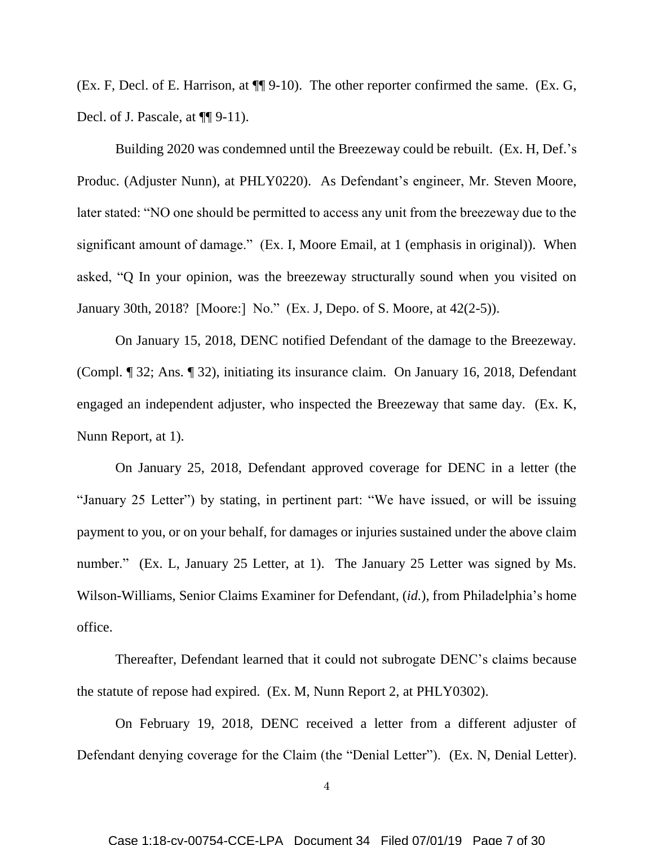(Ex. F, Decl. of E. Harrison, at ¶¶ 9-10). The other reporter confirmed the same. (Ex. G, Decl. of J. Pascale, at  $\P\P$  9-11).

Building 2020 was condemned until the Breezeway could be rebuilt. (Ex. H, Def.'s Produc. (Adjuster Nunn), at PHLY0220). As Defendant's engineer, Mr. Steven Moore, later stated: "NO one should be permitted to access any unit from the breezeway due to the significant amount of damage." (Ex. I, Moore Email, at 1 (emphasis in original)). When asked, "Q In your opinion, was the breezeway structurally sound when you visited on January 30th, 2018? [Moore:] No." (Ex. J, Depo. of S. Moore, at 42(2-5)).

On January 15, 2018, DENC notified Defendant of the damage to the Breezeway. (Compl. ¶ 32; Ans. ¶ 32), initiating its insurance claim. On January 16, 2018, Defendant engaged an independent adjuster, who inspected the Breezeway that same day. (Ex. K, Nunn Report, at 1).

On January 25, 2018, Defendant approved coverage for DENC in a letter (the "January 25 Letter") by stating, in pertinent part: "We have issued, or will be issuing payment to you, or on your behalf, for damages or injuries sustained under the above claim number." (Ex. L, January 25 Letter, at 1). The January 25 Letter was signed by Ms. Wilson-Williams, Senior Claims Examiner for Defendant, (*id.*), from Philadelphia's home office.

Thereafter, Defendant learned that it could not subrogate DENC's claims because the statute of repose had expired. (Ex. M, Nunn Report 2, at PHLY0302).

On February 19, 2018, DENC received a letter from a different adjuster of Defendant denying coverage for the Claim (the "Denial Letter"). (Ex. N, Denial Letter).

4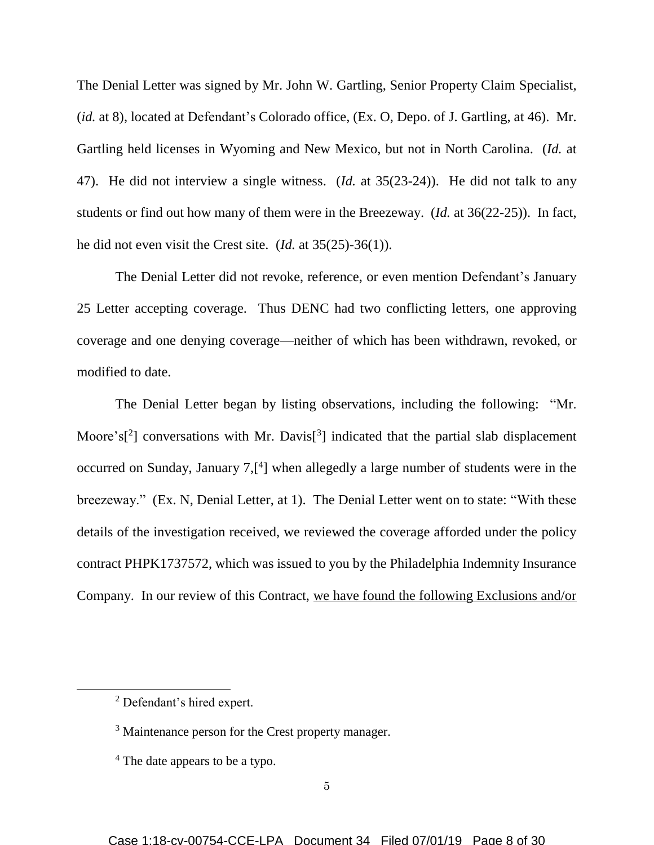The Denial Letter was signed by Mr. John W. Gartling, Senior Property Claim Specialist, (*id.* at 8), located at Defendant's Colorado office, (Ex. O, Depo. of J. Gartling, at 46). Mr. Gartling held licenses in Wyoming and New Mexico, but not in North Carolina. (*Id.* at 47). He did not interview a single witness. (*Id.* at 35(23-24)). He did not talk to any students or find out how many of them were in the Breezeway. (*Id.* at 36(22-25)). In fact, he did not even visit the Crest site. (*Id.* at 35(25)-36(1)).

The Denial Letter did not revoke, reference, or even mention Defendant's January 25 Letter accepting coverage. Thus DENC had two conflicting letters, one approving coverage and one denying coverage—neither of which has been withdrawn, revoked, or modified to date.

The Denial Letter began by listing observations, including the following: "Mr. Moore's<sup>[2</sup>] conversations with Mr. Davis<sup>[3</sup>] indicated that the partial slab displacement occurred on Sunday, January 7,<sup>[4</sup>] when allegedly a large number of students were in the breezeway." (Ex. N, Denial Letter, at 1). The Denial Letter went on to state: "With these details of the investigation received, we reviewed the coverage afforded under the policy contract PHPK1737572, which was issued to you by the Philadelphia Indemnity Insurance Company. In our review of this Contract, we have found the following Exclusions and/or

<sup>2</sup> Defendant's hired expert.

<sup>&</sup>lt;sup>3</sup> Maintenance person for the Crest property manager.

<sup>4</sup> The date appears to be a typo.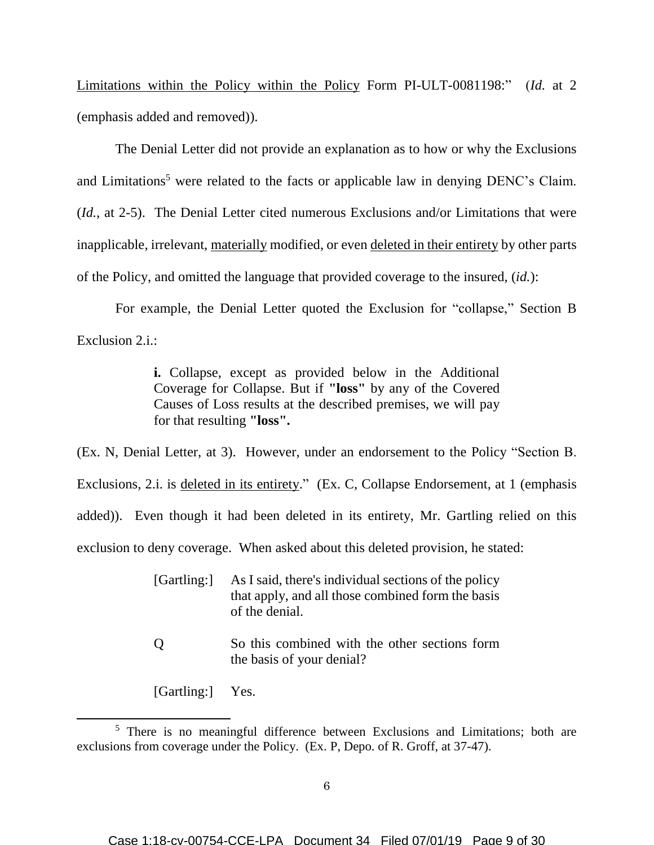Limitations within the Policy within the Policy Form PI-ULT-0081198:" (*Id.* at 2 (emphasis added and removed)).

The Denial Letter did not provide an explanation as to how or why the Exclusions and Limitations<sup>5</sup> were related to the facts or applicable law in denying DENC's Claim. (*Id.*, at 2-5). The Denial Letter cited numerous Exclusions and/or Limitations that were inapplicable, irrelevant, materially modified, or even deleted in their entirety by other parts of the Policy, and omitted the language that provided coverage to the insured, (*id.*):

For example, the Denial Letter quoted the Exclusion for "collapse," Section B Exclusion 2.i.:

> **i.** Collapse, except as provided below in the Additional Coverage for Collapse. But if **"loss"** by any of the Covered Causes of Loss results at the described premises, we will pay for that resulting **"loss".**

(Ex. N, Denial Letter, at 3). However, under an endorsement to the Policy "Section B. Exclusions, 2.i. is deleted in its entirety." (Ex. C, Collapse Endorsement, at 1 (emphasis added)). Even though it had been deleted in its entirety, Mr. Gartling relied on this exclusion to deny coverage. When asked about this deleted provision, he stated:

| [Gartling:] | As I said, there's individual sections of the policy |
|-------------|------------------------------------------------------|
|             | that apply, and all those combined form the basis    |
|             | of the denial.                                       |

Q So this combined with the other sections form the basis of your denial?

[Gartling:] Yes.

l

<sup>&</sup>lt;sup>5</sup> There is no meaningful difference between Exclusions and Limitations; both are exclusions from coverage under the Policy. (Ex. P, Depo. of R. Groff, at 37-47).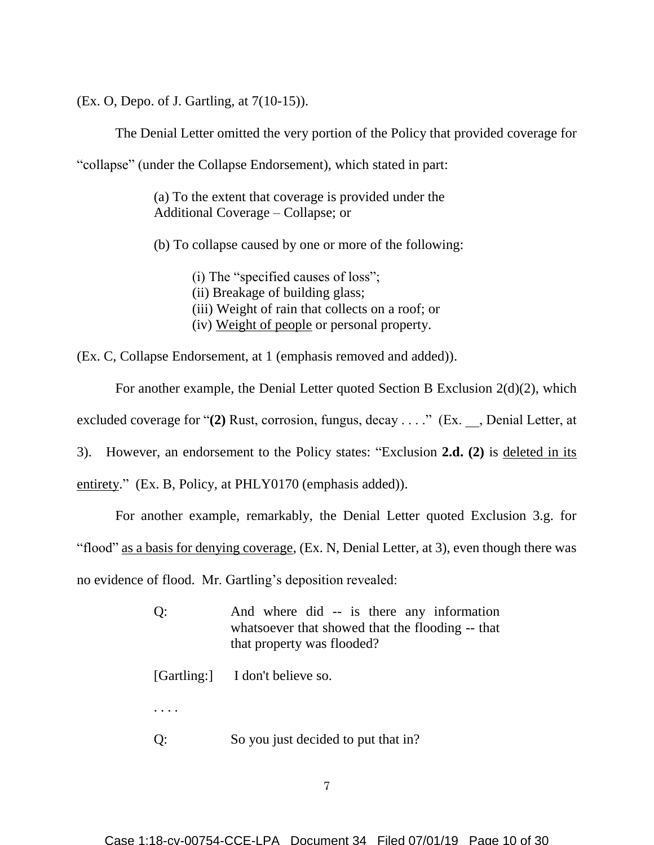(Ex. O, Depo. of J. Gartling, at 7(10-15)).

The Denial Letter omitted the very portion of the Policy that provided coverage for

"collapse" (under the Collapse Endorsement), which stated in part:

(a) To the extent that coverage is provided under the Additional Coverage – Collapse; or

(b) To collapse caused by one or more of the following:

(i) The "specified causes of loss"; (ii) Breakage of building glass; (iii) Weight of rain that collects on a roof; or (iv) Weight of people or personal property.

(Ex. C, Collapse Endorsement, at 1 (emphasis removed and added)).

For another example, the Denial Letter quoted Section B Exclusion 2(d)(2), which excluded coverage for "(2) Rust, corrosion, fungus, decay . . . ." (Ex. , Denial Letter, at 3). However, an endorsement to the Policy states: "Exclusion **2.d. (2)** is deleted in its entirety." (Ex. B, Policy, at PHLY0170 (emphasis added)).

For another example, remarkably, the Denial Letter quoted Exclusion 3.g. for "flood" as a basis for denying coverage, (Ex. N, Denial Letter, at 3), even though there was no evidence of flood. Mr. Gartling's deposition revealed:

> Q: And where did -- is there any information whatsoever that showed that the flooding -- that that property was flooded?

[Gartling:] I don't believe so.

. . . .

Q: So you just decided to put that in?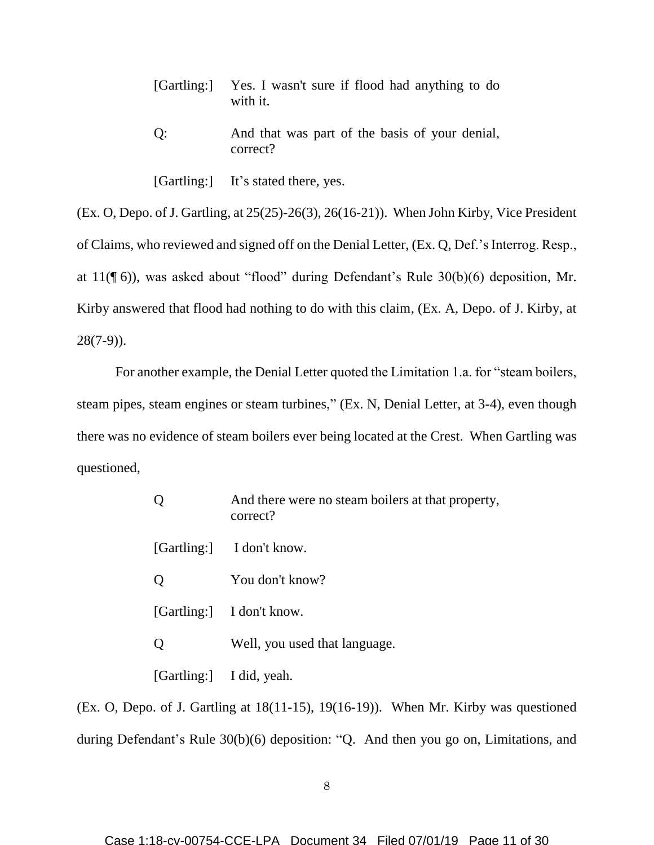|    | [Gartling:] Yes. I wasn't sure if flood had anything to do<br>with it. |
|----|------------------------------------------------------------------------|
| O: | And that was part of the basis of your denial,<br>correct?             |

[Gartling:] It's stated there, yes.

(Ex. O, Depo. of J. Gartling, at 25(25)-26(3), 26(16-21)). When John Kirby, Vice President of Claims, who reviewed and signed off on the Denial Letter, (Ex. Q, Def.'s Interrog. Resp., at 11(¶ 6)), was asked about "flood" during Defendant's Rule 30(b)(6) deposition, Mr. Kirby answered that flood had nothing to do with this claim, (Ex. A, Depo. of J. Kirby, at 28(7-9)).

For another example, the Denial Letter quoted the Limitation 1.a. for "steam boilers, steam pipes, steam engines or steam turbines," (Ex. N, Denial Letter, at 3-4), even though there was no evidence of steam boilers ever being located at the Crest. When Gartling was questioned,

| And there were no steam boilers at that property,<br>correct? |
|---------------------------------------------------------------|
| [Gartling:] I don't know.                                     |
| You don't know?                                               |
| [Gartling:] I don't know.                                     |
| Well, you used that language.                                 |
| [Gartling:] I did, yeah.                                      |

(Ex. O, Depo. of J. Gartling at 18(11-15), 19(16-19)). When Mr. Kirby was questioned during Defendant's Rule 30(b)(6) deposition: "Q. And then you go on, Limitations, and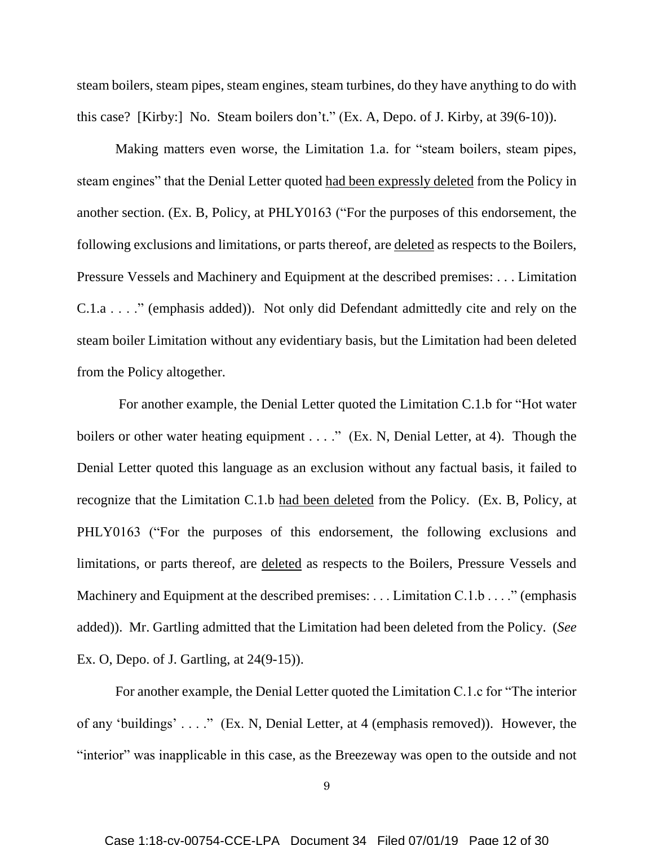steam boilers, steam pipes, steam engines, steam turbines, do they have anything to do with this case? [Kirby:] No. Steam boilers don't." (Ex. A, Depo. of J. Kirby, at 39(6-10)).

Making matters even worse, the Limitation 1.a. for "steam boilers, steam pipes, steam engines" that the Denial Letter quoted had been expressly deleted from the Policy in another section. (Ex. B, Policy, at PHLY0163 ("For the purposes of this endorsement, the following exclusions and limitations, or parts thereof, are deleted as respects to the Boilers, Pressure Vessels and Machinery and Equipment at the described premises: . . . Limitation C.1.a . . . ." (emphasis added)). Not only did Defendant admittedly cite and rely on the steam boiler Limitation without any evidentiary basis, but the Limitation had been deleted from the Policy altogether.

For another example, the Denial Letter quoted the Limitation C.1.b for "Hot water boilers or other water heating equipment  $\dots$ ." (Ex. N, Denial Letter, at 4). Though the Denial Letter quoted this language as an exclusion without any factual basis, it failed to recognize that the Limitation C.1.b had been deleted from the Policy. (Ex. B, Policy, at PHLY0163 ("For the purposes of this endorsement, the following exclusions and limitations, or parts thereof, are deleted as respects to the Boilers, Pressure Vessels and Machinery and Equipment at the described premises: ... Limitation C.1.b . . . ." (emphasis added)). Mr. Gartling admitted that the Limitation had been deleted from the Policy. (*See*  Ex. O, Depo. of J. Gartling, at 24(9-15)).

For another example, the Denial Letter quoted the Limitation C.1.c for "The interior of any 'buildings' . . . ." (Ex. N, Denial Letter, at 4 (emphasis removed)). However, the "interior" was inapplicable in this case, as the Breezeway was open to the outside and not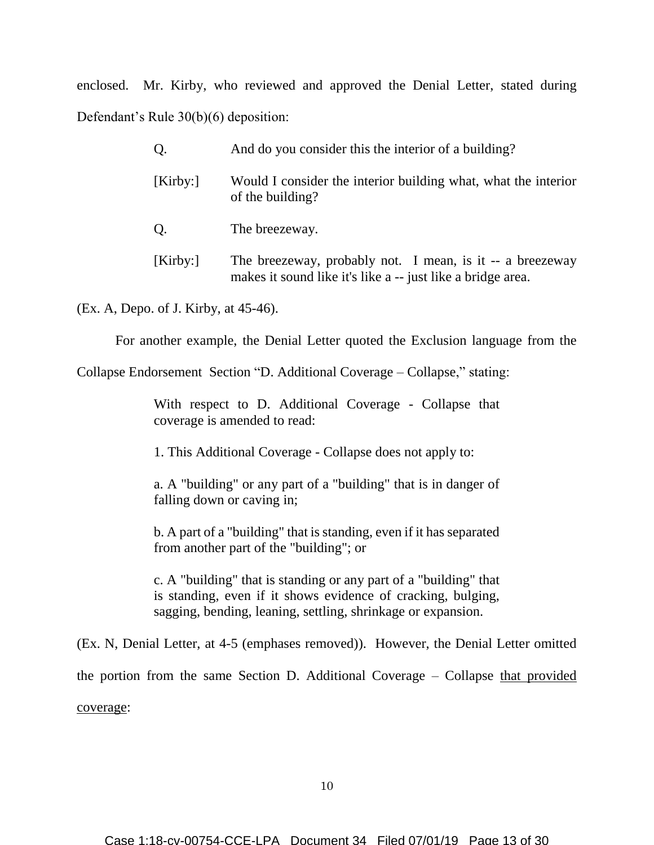enclosed. Mr. Kirby, who reviewed and approved the Denial Letter, stated during Defendant's Rule 30(b)(6) deposition:

| Q.      | And do you consider this the interior of a building?                                                                     |
|---------|--------------------------------------------------------------------------------------------------------------------------|
| [Kirby: | Would I consider the interior building what, what the interior<br>of the building?                                       |
| Q.      | The breezeway.                                                                                                           |
| [Kirby: | The breezeway, probably not. I mean, is it -- a breezeway<br>makes it sound like it's like a -- just like a bridge area. |

(Ex. A, Depo. of J. Kirby, at 45-46).

For another example, the Denial Letter quoted the Exclusion language from the

Collapse Endorsement Section "D. Additional Coverage – Collapse," stating:

With respect to D. Additional Coverage - Collapse that coverage is amended to read:

1. This Additional Coverage - Collapse does not apply to:

a. A "building" or any part of a "building" that is in danger of falling down or caving in;

b. A part of a "building" that is standing, even if it has separated from another part of the "building"; or

c. A "building" that is standing or any part of a "building" that is standing, even if it shows evidence of cracking, bulging, sagging, bending, leaning, settling, shrinkage or expansion.

(Ex. N, Denial Letter, at 4-5 (emphases removed)). However, the Denial Letter omitted the portion from the same Section D. Additional Coverage – Collapse that provided coverage: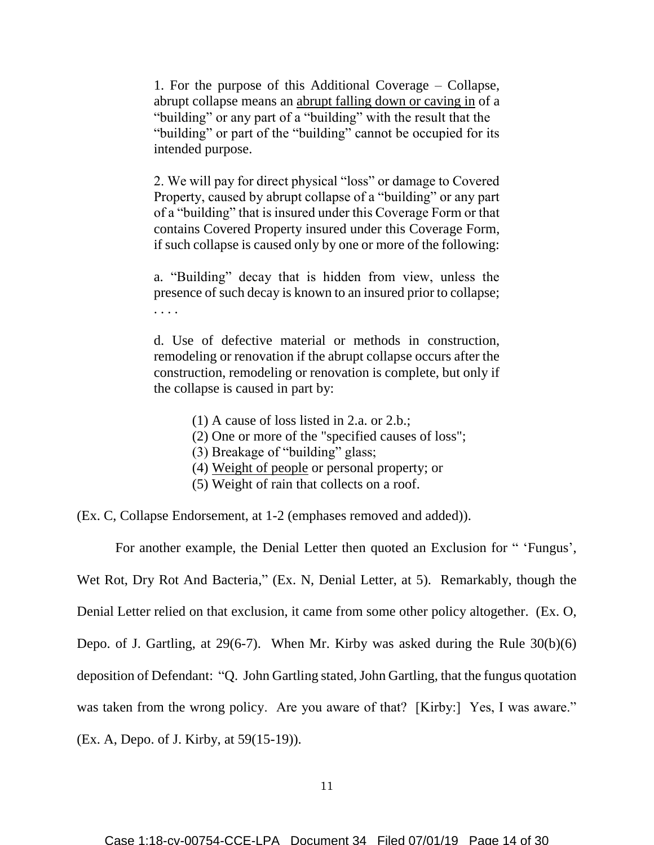1. For the purpose of this Additional Coverage – Collapse, abrupt collapse means an abrupt falling down or caving in of a "building" or any part of a "building" with the result that the "building" or part of the "building" cannot be occupied for its intended purpose.

2. We will pay for direct physical "loss" or damage to Covered Property, caused by abrupt collapse of a "building" or any part of a "building" that is insured under this Coverage Form or that contains Covered Property insured under this Coverage Form, if such collapse is caused only by one or more of the following:

a. "Building" decay that is hidden from view, unless the presence of such decay is known to an insured prior to collapse; . . . .

d. Use of defective material or methods in construction, remodeling or renovation if the abrupt collapse occurs after the construction, remodeling or renovation is complete, but only if the collapse is caused in part by:

- (1) A cause of loss listed in 2.a. or 2.b.;
- (2) One or more of the "specified causes of loss";
- (3) Breakage of "building" glass;
- (4) Weight of people or personal property; or
- (5) Weight of rain that collects on a roof.

(Ex. C, Collapse Endorsement, at 1-2 (emphases removed and added)).

For another example, the Denial Letter then quoted an Exclusion for " 'Fungus', Wet Rot, Dry Rot And Bacteria," (Ex. N, Denial Letter, at 5). Remarkably, though the Denial Letter relied on that exclusion, it came from some other policy altogether. (Ex. O, Depo. of J. Gartling, at 29(6-7). When Mr. Kirby was asked during the Rule 30(b)(6) deposition of Defendant: "Q. John Gartling stated, John Gartling, that the fungus quotation was taken from the wrong policy. Are you aware of that? [Kirby:] Yes, I was aware." (Ex. A, Depo. of J. Kirby, at 59(15-19)).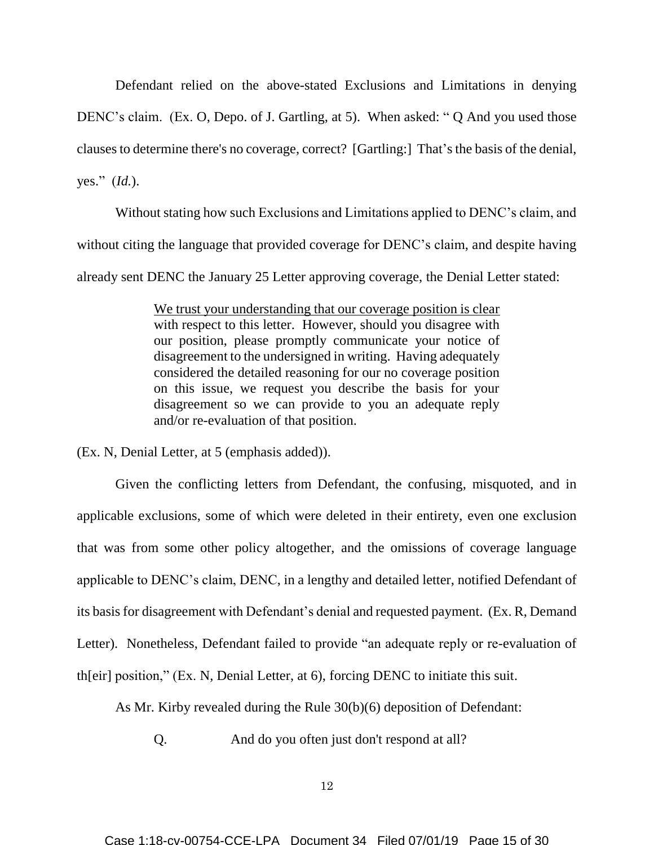Defendant relied on the above-stated Exclusions and Limitations in denying DENC's claim. (Ex. O, Depo. of J. Gartling, at 5). When asked: " Q And you used those clauses to determine there's no coverage, correct? [Gartling:] That's the basis of the denial, yes." (*Id.*).

Without stating how such Exclusions and Limitations applied to DENC's claim, and without citing the language that provided coverage for DENC's claim, and despite having already sent DENC the January 25 Letter approving coverage, the Denial Letter stated:

> We trust your understanding that our coverage position is clear with respect to this letter. However, should you disagree with our position, please promptly communicate your notice of disagreement to the undersigned in writing. Having adequately considered the detailed reasoning for our no coverage position on this issue, we request you describe the basis for your disagreement so we can provide to you an adequate reply and/or re-evaluation of that position.

(Ex. N, Denial Letter, at 5 (emphasis added)).

Given the conflicting letters from Defendant, the confusing, misquoted, and in applicable exclusions, some of which were deleted in their entirety, even one exclusion that was from some other policy altogether, and the omissions of coverage language applicable to DENC's claim, DENC, in a lengthy and detailed letter, notified Defendant of its basis for disagreement with Defendant's denial and requested payment. (Ex. R, Demand Letter). Nonetheless, Defendant failed to provide "an adequate reply or re-evaluation of th[eir] position," (Ex. N, Denial Letter, at 6), forcing DENC to initiate this suit.

As Mr. Kirby revealed during the Rule 30(b)(6) deposition of Defendant:

Q. And do you often just don't respond at all?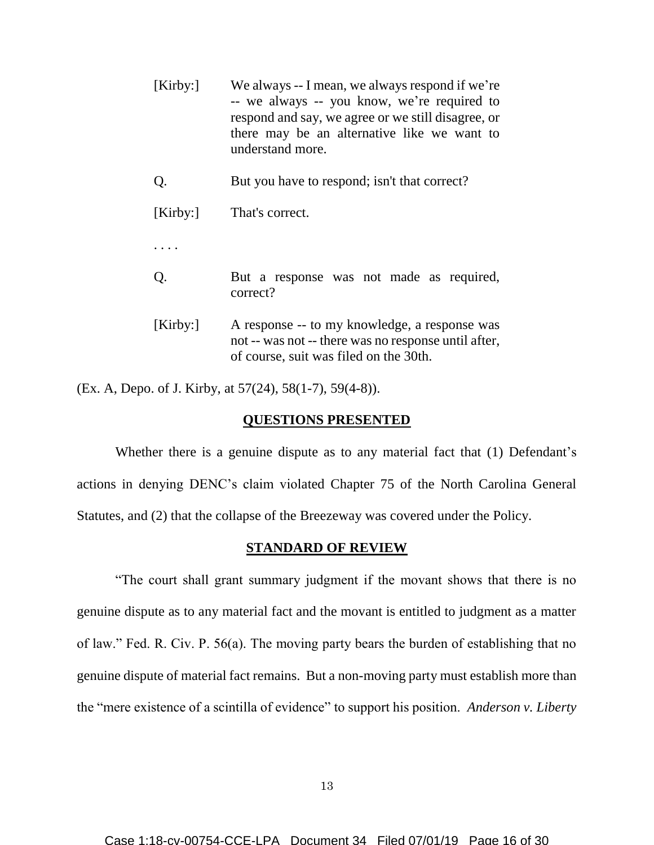| [Kirby: | We always -- I mean, we always respond if we're<br>-- we always -- you know, we're required to<br>respond and say, we agree or we still disagree, or<br>there may be an alternative like we want to<br>understand more. |
|---------|-------------------------------------------------------------------------------------------------------------------------------------------------------------------------------------------------------------------------|
| Q.      | But you have to respond; isn't that correct?                                                                                                                                                                            |
| [Kirby: | That's correct.                                                                                                                                                                                                         |
|         |                                                                                                                                                                                                                         |
| Q.      | But a response was not made as required,<br>correct?                                                                                                                                                                    |
| [Kirby: | A response -- to my knowledge, a response was<br>not -- was not -- there was no response until after,<br>of course, suit was filed on the 30th.                                                                         |

(Ex. A, Depo. of J. Kirby, at 57(24), 58(1-7), 59(4-8)).

### **QUESTIONS PRESENTED**

Whether there is a genuine dispute as to any material fact that (1) Defendant's actions in denying DENC's claim violated Chapter 75 of the North Carolina General Statutes, and (2) that the collapse of the Breezeway was covered under the Policy.

## **STANDARD OF REVIEW**

"The court shall grant summary judgment if the movant shows that there is no genuine dispute as to any material fact and the movant is entitled to judgment as a matter of law." Fed. R. Civ. P. 56(a). The moving party bears the burden of establishing that no genuine dispute of material fact remains. But a non-moving party must establish more than the "mere existence of a scintilla of evidence" to support his position. *Anderson v. Liberty*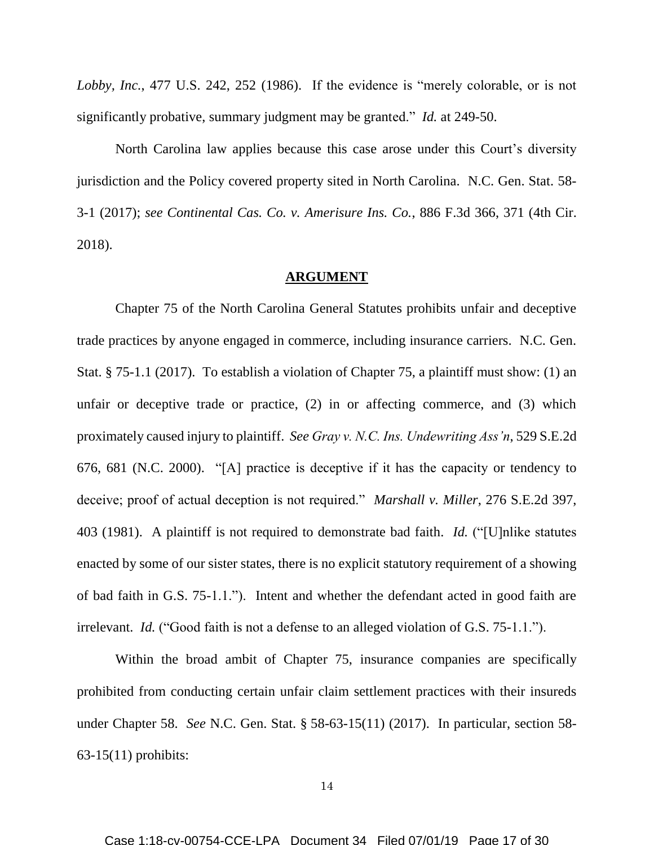*Lobby, Inc.*, 477 U.S. 242, 252 (1986). If the evidence is "merely colorable, or is not significantly probative, summary judgment may be granted." *Id.* at 249-50.

North Carolina law applies because this case arose under this Court's diversity jurisdiction and the Policy covered property sited in North Carolina. N.C. Gen. Stat. 58- 3-1 (2017); *see Continental Cas. Co. v. Amerisure Ins. Co.*, 886 F.3d 366, 371 (4th Cir. 2018).

### **ARGUMENT**

Chapter 75 of the North Carolina General Statutes prohibits unfair and deceptive trade practices by anyone engaged in commerce, including insurance carriers. N.C. Gen. Stat. § 75-1.1 (2017). To establish a violation of Chapter 75, a plaintiff must show: (1) an unfair or deceptive trade or practice, (2) in or affecting commerce, and (3) which proximately caused injury to plaintiff. *See Gray v. N.C. Ins. Undewriting Ass'n*, 529 S.E.2d 676, 681 (N.C. 2000). "[A] practice is deceptive if it has the capacity or tendency to deceive; proof of actual deception is not required." *Marshall v. Miller*, 276 S.E.2d 397, 403 (1981). A plaintiff is not required to demonstrate bad faith. *Id.* ("[U]nlike statutes enacted by some of our sister states, there is no explicit statutory requirement of a showing of bad faith in G.S. 75-1.1."). Intent and whether the defendant acted in good faith are irrelevant. *Id.* ("Good faith is not a defense to an alleged violation of G.S. 75-1.1.").

Within the broad ambit of Chapter 75, insurance companies are specifically prohibited from conducting certain unfair claim settlement practices with their insureds under Chapter 58. *See* N.C. Gen. Stat. § 58-63-15(11) (2017). In particular, section 58- 63-15(11) prohibits: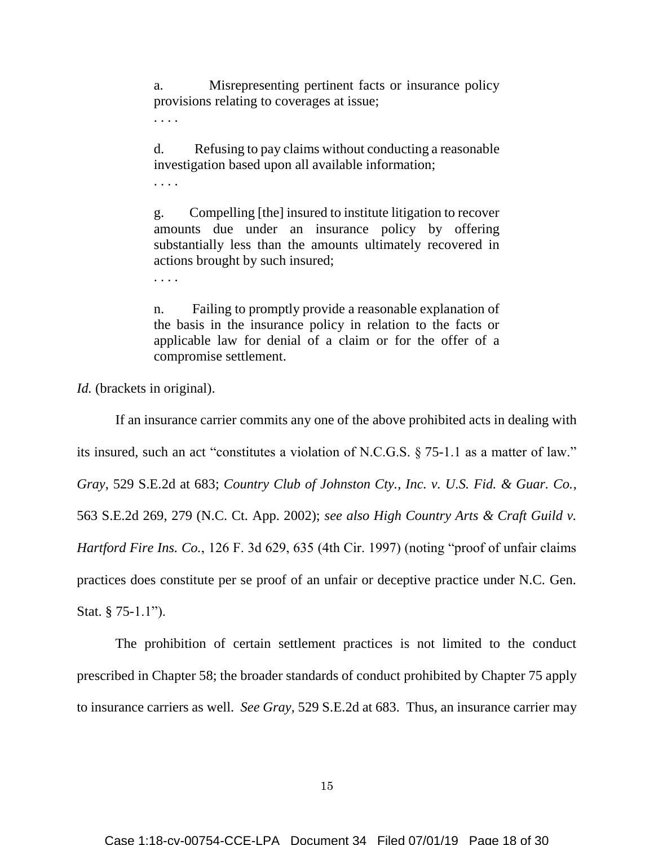a. Misrepresenting pertinent facts or insurance policy provisions relating to coverages at issue;

. . . .

d. Refusing to pay claims without conducting a reasonable investigation based upon all available information;

. . . .

. . . .

g. Compelling [the] insured to institute litigation to recover amounts due under an insurance policy by offering substantially less than the amounts ultimately recovered in actions brought by such insured;

n. Failing to promptly provide a reasonable explanation of the basis in the insurance policy in relation to the facts or applicable law for denial of a claim or for the offer of a compromise settlement.

*Id.* (brackets in original).

If an insurance carrier commits any one of the above prohibited acts in dealing with its insured, such an act "constitutes a violation of N.C.G.S. § 75-1.1 as a matter of law." *Gray*, 529 S.E.2d at 683; *Country Club of Johnston Cty., Inc. v. U.S. Fid. & Guar. Co.*, 563 S.E.2d 269, 279 (N.C. Ct. App. 2002); *see also High Country Arts & Craft Guild v. Hartford Fire Ins. Co.*, 126 F. 3d 629, 635 (4th Cir. 1997) (noting "proof of unfair claims practices does constitute per se proof of an unfair or deceptive practice under N.C. Gen. Stat. § 75-1.1").

The prohibition of certain settlement practices is not limited to the conduct prescribed in Chapter 58; the broader standards of conduct prohibited by Chapter 75 apply to insurance carriers as well. *See Gray*, 529 S.E.2d at 683. Thus, an insurance carrier may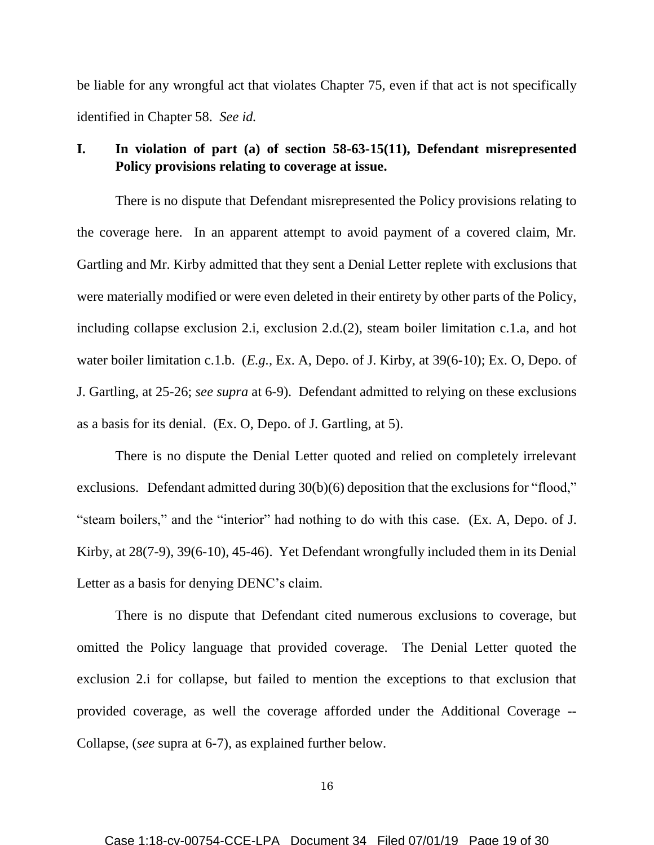be liable for any wrongful act that violates Chapter 75, even if that act is not specifically identified in Chapter 58. *See id.*

## **I. In violation of part (a) of section 58-63-15(11), Defendant misrepresented Policy provisions relating to coverage at issue.**

There is no dispute that Defendant misrepresented the Policy provisions relating to the coverage here. In an apparent attempt to avoid payment of a covered claim, Mr. Gartling and Mr. Kirby admitted that they sent a Denial Letter replete with exclusions that were materially modified or were even deleted in their entirety by other parts of the Policy, including collapse exclusion 2.i, exclusion 2.d.(2), steam boiler limitation c.1.a, and hot water boiler limitation c.1.b. (*E.g.*, Ex. A, Depo. of J. Kirby, at 39(6-10); Ex. O, Depo. of J. Gartling, at 25-26; *see supra* at 6-9). Defendant admitted to relying on these exclusions as a basis for its denial. (Ex. O, Depo. of J. Gartling, at 5).

There is no dispute the Denial Letter quoted and relied on completely irrelevant exclusions. Defendant admitted during 30(b)(6) deposition that the exclusions for "flood," "steam boilers," and the "interior" had nothing to do with this case. (Ex. A, Depo. of J. Kirby, at 28(7-9), 39(6-10), 45-46). Yet Defendant wrongfully included them in its Denial Letter as a basis for denying DENC's claim.

There is no dispute that Defendant cited numerous exclusions to coverage, but omitted the Policy language that provided coverage. The Denial Letter quoted the exclusion 2.i for collapse, but failed to mention the exceptions to that exclusion that provided coverage, as well the coverage afforded under the Additional Coverage -- Collapse, (*see* supra at 6-7), as explained further below.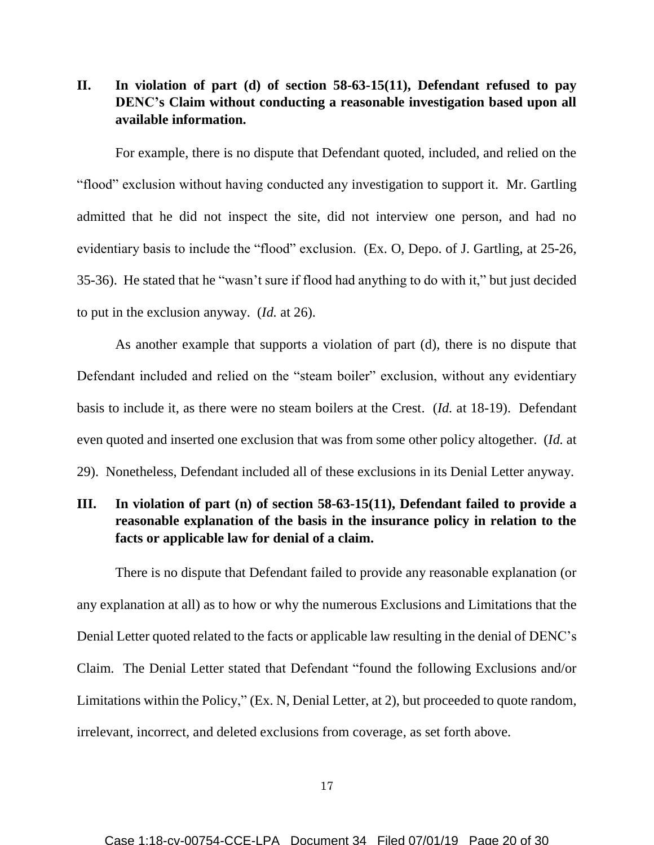# **II. In violation of part (d) of section 58-63-15(11), Defendant refused to pay DENC's Claim without conducting a reasonable investigation based upon all available information.**

For example, there is no dispute that Defendant quoted, included, and relied on the "flood" exclusion without having conducted any investigation to support it. Mr. Gartling admitted that he did not inspect the site, did not interview one person, and had no evidentiary basis to include the "flood" exclusion. (Ex. O, Depo. of J. Gartling, at 25-26, 35-36). He stated that he "wasn't sure if flood had anything to do with it," but just decided to put in the exclusion anyway. (*Id.* at 26).

As another example that supports a violation of part (d), there is no dispute that Defendant included and relied on the "steam boiler" exclusion, without any evidentiary basis to include it, as there were no steam boilers at the Crest. (*Id.* at 18-19). Defendant even quoted and inserted one exclusion that was from some other policy altogether. (*Id.* at 29). Nonetheless, Defendant included all of these exclusions in its Denial Letter anyway.

# **III. In violation of part (n) of section 58-63-15(11), Defendant failed to provide a reasonable explanation of the basis in the insurance policy in relation to the facts or applicable law for denial of a claim.**

There is no dispute that Defendant failed to provide any reasonable explanation (or any explanation at all) as to how or why the numerous Exclusions and Limitations that the Denial Letter quoted related to the facts or applicable law resulting in the denial of DENC's Claim. The Denial Letter stated that Defendant "found the following Exclusions and/or Limitations within the Policy," (Ex. N, Denial Letter, at 2), but proceeded to quote random, irrelevant, incorrect, and deleted exclusions from coverage, as set forth above.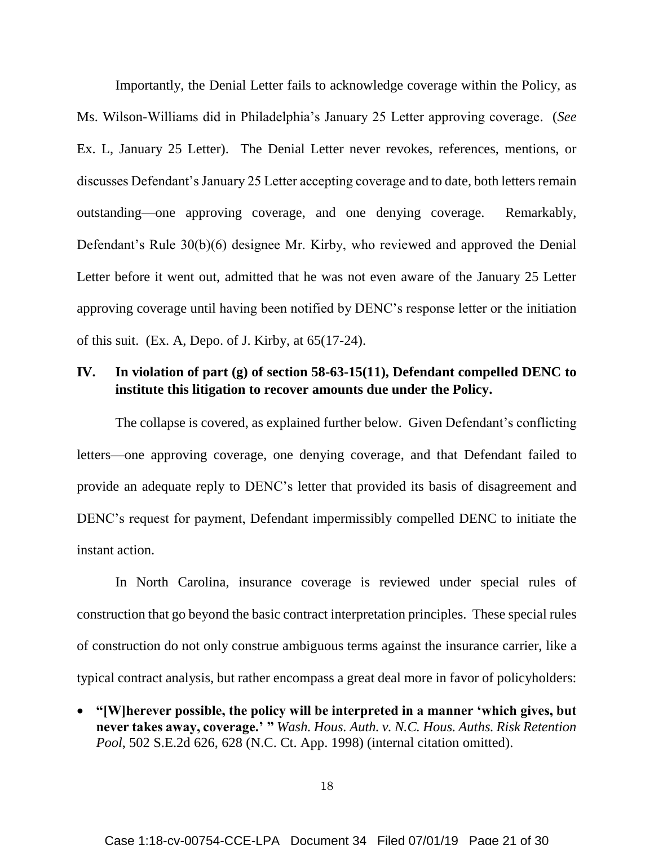Importantly, the Denial Letter fails to acknowledge coverage within the Policy, as Ms. Wilson-Williams did in Philadelphia's January 25 Letter approving coverage. (*See*  Ex. L, January 25 Letter). The Denial Letter never revokes, references, mentions, or discusses Defendant's January 25 Letter accepting coverage and to date, both letters remain outstanding—one approving coverage, and one denying coverage. Remarkably, Defendant's Rule 30(b)(6) designee Mr. Kirby, who reviewed and approved the Denial Letter before it went out, admitted that he was not even aware of the January 25 Letter approving coverage until having been notified by DENC's response letter or the initiation of this suit. (Ex. A, Depo. of J. Kirby, at 65(17-24).

# **IV. In violation of part (g) of section 58-63-15(11), Defendant compelled DENC to institute this litigation to recover amounts due under the Policy.**

The collapse is covered, as explained further below. Given Defendant's conflicting letters—one approving coverage, one denying coverage, and that Defendant failed to provide an adequate reply to DENC's letter that provided its basis of disagreement and DENC's request for payment, Defendant impermissibly compelled DENC to initiate the instant action.

In North Carolina, insurance coverage is reviewed under special rules of construction that go beyond the basic contract interpretation principles. These special rules of construction do not only construe ambiguous terms against the insurance carrier, like a typical contract analysis, but rather encompass a great deal more in favor of policyholders:

• **"[W]herever possible, the policy will be interpreted in a manner 'which gives, but never takes away, coverage.' "** *Wash. Hous. Auth. v. N.C. Hous. Auths. Risk Retention Pool*, 502 S.E.2d 626, 628 (N.C. Ct. App. 1998) (internal citation omitted).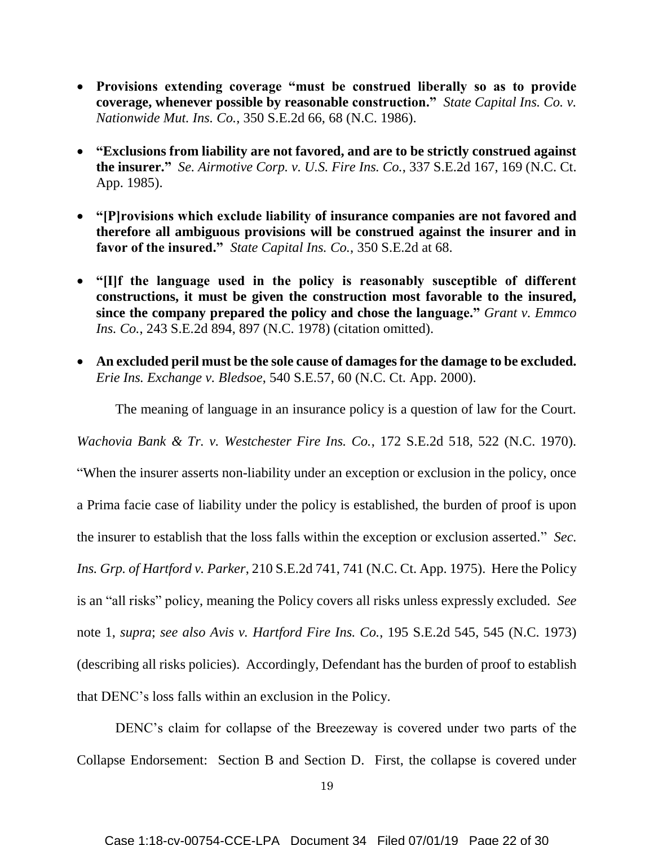- **Provisions extending coverage "must be construed liberally so as to provide coverage, whenever possible by reasonable construction."** *State Capital Ins. Co. v. Nationwide Mut. Ins. Co.*, 350 S.E.2d 66, 68 (N.C. 1986).
- **"Exclusions from liability are not favored, and are to be strictly construed against the insurer."** *Se. Airmotive Corp. v. U.S. Fire Ins. Co.*, 337 S.E.2d 167, 169 (N.C. Ct. App. 1985).
- **"[P]rovisions which exclude liability of insurance companies are not favored and therefore all ambiguous provisions will be construed against the insurer and in favor of the insured."** *State Capital Ins. Co.*, 350 S.E.2d at 68.
- **"[I]f the language used in the policy is reasonably susceptible of different constructions, it must be given the construction most favorable to the insured, since the company prepared the policy and chose the language."** *Grant v. Emmco Ins. Co.*, 243 S.E.2d 894, 897 (N.C. 1978) (citation omitted).
- **An excluded peril must be the sole cause of damages for the damage to be excluded.** *Erie Ins. Exchange v. Bledsoe*, 540 S.E.57, 60 (N.C. Ct. App. 2000).

The meaning of language in an insurance policy is a question of law for the Court.

*Wachovia Bank & Tr. v. Westchester Fire Ins. Co.*, 172 S.E.2d 518, 522 (N.C. 1970).

"When the insurer asserts non-liability under an exception or exclusion in the policy, once a Prima facie case of liability under the policy is established, the burden of proof is upon the insurer to establish that the loss falls within the exception or exclusion asserted." *Sec. Ins. Grp. of Hartford v. Parker*, 210 S.E.2d 741, 741 (N.C. Ct. App. 1975). Here the Policy is an "all risks" policy, meaning the Policy covers all risks unless expressly excluded. *See*  note 1, *supra*; *see also Avis v. Hartford Fire Ins. Co.*, 195 S.E.2d 545, 545 (N.C. 1973) (describing all risks policies). Accordingly, Defendant has the burden of proof to establish that DENC's loss falls within an exclusion in the Policy.

DENC's claim for collapse of the Breezeway is covered under two parts of the Collapse Endorsement: Section B and Section D. First, the collapse is covered under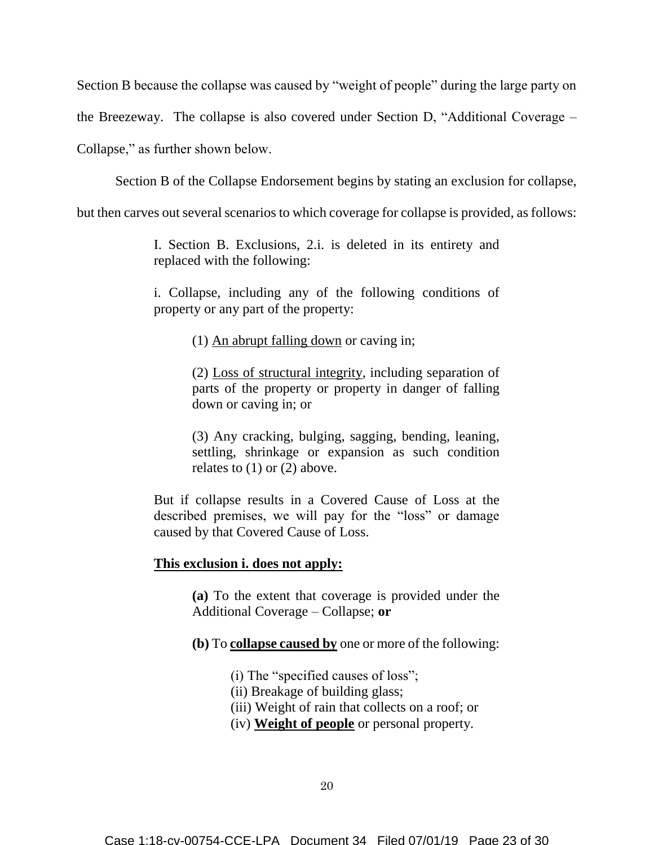Section B because the collapse was caused by "weight of people" during the large party on

the Breezeway. The collapse is also covered under Section D, "Additional Coverage –

Collapse," as further shown below.

Section B of the Collapse Endorsement begins by stating an exclusion for collapse,

but then carves out several scenarios to which coverage for collapse is provided, as follows:

I. Section B. Exclusions, 2.i. is deleted in its entirety and replaced with the following:

i. Collapse, including any of the following conditions of property or any part of the property:

(1) An abrupt falling down or caving in;

(2) Loss of structural integrity, including separation of parts of the property or property in danger of falling down or caving in; or

(3) Any cracking, bulging, sagging, bending, leaning, settling, shrinkage or expansion as such condition relates to  $(1)$  or  $(2)$  above.

But if collapse results in a Covered Cause of Loss at the described premises, we will pay for the "loss" or damage caused by that Covered Cause of Loss.

### **This exclusion i. does not apply:**

**(a)** To the extent that coverage is provided under the Additional Coverage – Collapse; **or**

**(b)** To **collapse caused by** one or more of the following:

(i) The "specified causes of loss";

(ii) Breakage of building glass;

(iii) Weight of rain that collects on a roof; or

(iv) **Weight of people** or personal property.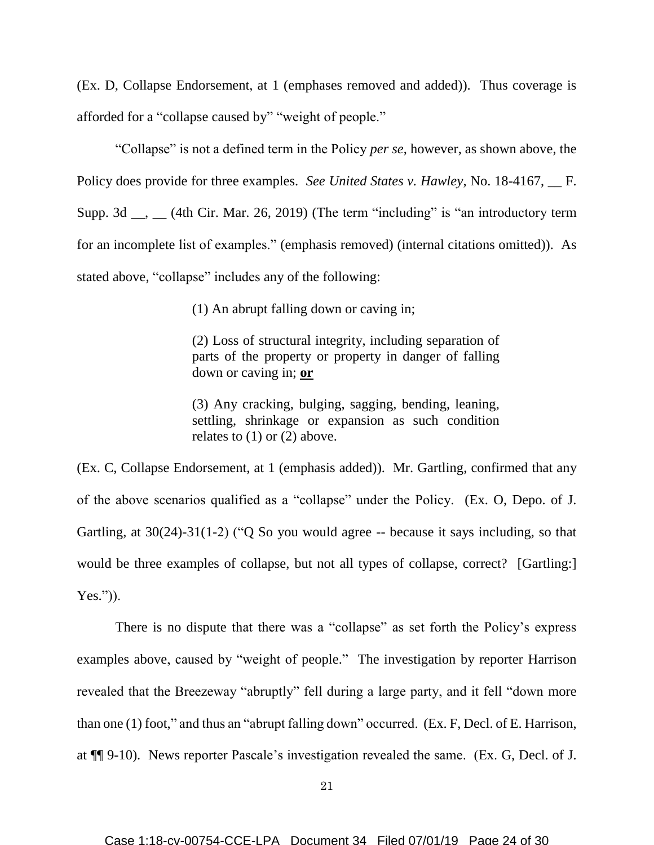(Ex. D, Collapse Endorsement, at 1 (emphases removed and added)). Thus coverage is afforded for a "collapse caused by" "weight of people."

"Collapse" is not a defined term in the Policy *per se*, however, as shown above, the Policy does provide for three examples. *See United States v. Hawley*, No. 18-4167, \_\_ F. Supp. 3d  $\_\_\_\_\_$  (4th Cir. Mar. 26, 2019) (The term "including" is "an introductory term for an incomplete list of examples." (emphasis removed) (internal citations omitted)). As stated above, "collapse" includes any of the following:

(1) An abrupt falling down or caving in;

(2) Loss of structural integrity, including separation of parts of the property or property in danger of falling down or caving in; **or**

(3) Any cracking, bulging, sagging, bending, leaning, settling, shrinkage or expansion as such condition relates to (1) or (2) above.

(Ex. C, Collapse Endorsement, at 1 (emphasis added)). Mr. Gartling, confirmed that any of the above scenarios qualified as a "collapse" under the Policy. (Ex. O, Depo. of J. Gartling, at 30(24)-31(1-2) ("Q So you would agree -- because it says including, so that would be three examples of collapse, but not all types of collapse, correct? [Gartling:] Yes.")).

There is no dispute that there was a "collapse" as set forth the Policy's express examples above, caused by "weight of people." The investigation by reporter Harrison revealed that the Breezeway "abruptly" fell during a large party, and it fell "down more than one (1) foot," and thus an "abrupt falling down" occurred. (Ex. F, Decl. of E. Harrison, at ¶¶ 9-10). News reporter Pascale's investigation revealed the same. (Ex. G, Decl. of J.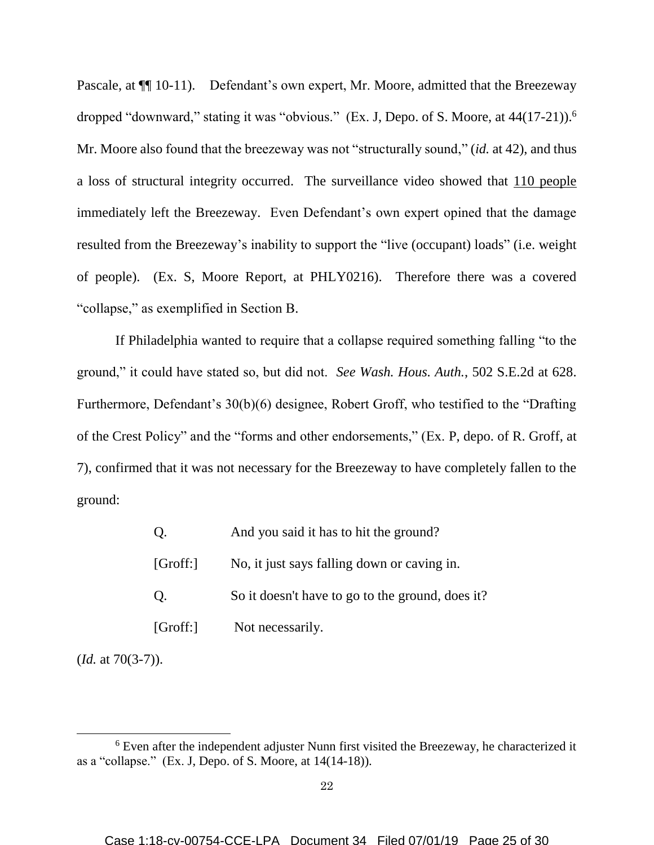Pascale, at  $\P$ [10-11]. Defendant's own expert, Mr. Moore, admitted that the Breezeway dropped "downward," stating it was "obvious." (Ex. J, Depo. of S. Moore, at 44(17-21)).<sup>6</sup> Mr. Moore also found that the breezeway was not "structurally sound," (*id.* at 42), and thus a loss of structural integrity occurred. The surveillance video showed that 110 people immediately left the Breezeway. Even Defendant's own expert opined that the damage resulted from the Breezeway's inability to support the "live (occupant) loads" (i.e. weight of people). (Ex. S, Moore Report, at PHLY0216). Therefore there was a covered "collapse," as exemplified in Section B.

If Philadelphia wanted to require that a collapse required something falling "to the ground," it could have stated so, but did not. *See Wash. Hous. Auth.*, 502 S.E.2d at 628. Furthermore, Defendant's 30(b)(6) designee, Robert Groff, who testified to the "Drafting of the Crest Policy" and the "forms and other endorsements," (Ex. P, depo. of R. Groff, at 7), confirmed that it was not necessary for the Breezeway to have completely fallen to the ground:

| Q.       | And you said it has to hit the ground?           |
|----------|--------------------------------------------------|
| [Groff.] | No, it just says falling down or caving in.      |
| Q.       | So it doesn't have to go to the ground, does it? |
| [Groff!] | Not necessarily.                                 |

(*Id.* at 70(3-7)).

 $\overline{a}$ 

<sup>6</sup> Even after the independent adjuster Nunn first visited the Breezeway, he characterized it as a "collapse." (Ex. J, Depo. of S. Moore, at 14(14-18)).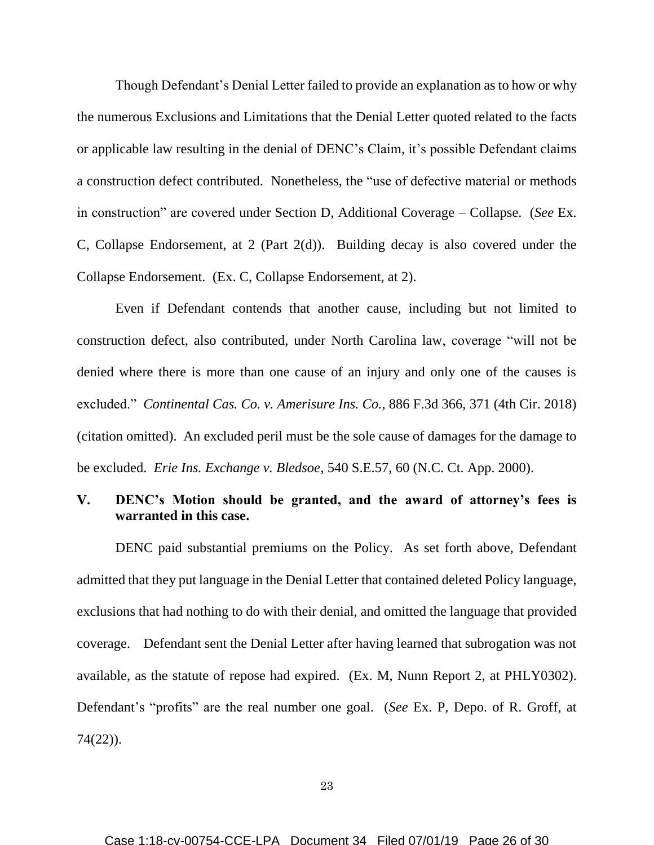Though Defendant's Denial Letter failed to provide an explanation as to how or why the numerous Exclusions and Limitations that the Denial Letter quoted related to the facts or applicable law resulting in the denial of DENC's Claim, it's possible Defendant claims a construction defect contributed. Nonetheless, the "use of defective material or methods in construction" are covered under Section D, Additional Coverage – Collapse. (*See* Ex. C, Collapse Endorsement, at 2 (Part 2(d)). Building decay is also covered under the Collapse Endorsement. (Ex. C, Collapse Endorsement, at 2).

Even if Defendant contends that another cause, including but not limited to construction defect, also contributed, under North Carolina law, coverage "will not be denied where there is more than one cause of an injury and only one of the causes is excluded." *Continental Cas. Co. v. Amerisure Ins. Co.*, 886 F.3d 366, 371 (4th Cir. 2018) (citation omitted). An excluded peril must be the sole cause of damages for the damage to be excluded. *Erie Ins. Exchange v. Bledsoe*, 540 S.E.57, 60 (N.C. Ct. App. 2000).

## **V. DENC's Motion should be granted, and the award of attorney's fees is warranted in this case.**

DENC paid substantial premiums on the Policy. As set forth above, Defendant admitted that they put language in the Denial Letter that contained deleted Policy language, exclusions that had nothing to do with their denial, and omitted the language that provided coverage. Defendant sent the Denial Letter after having learned that subrogation was not available, as the statute of repose had expired. (Ex. M, Nunn Report 2, at PHLY0302). Defendant's "profits" are the real number one goal. (*See* Ex. P, Depo. of R. Groff, at 74(22)).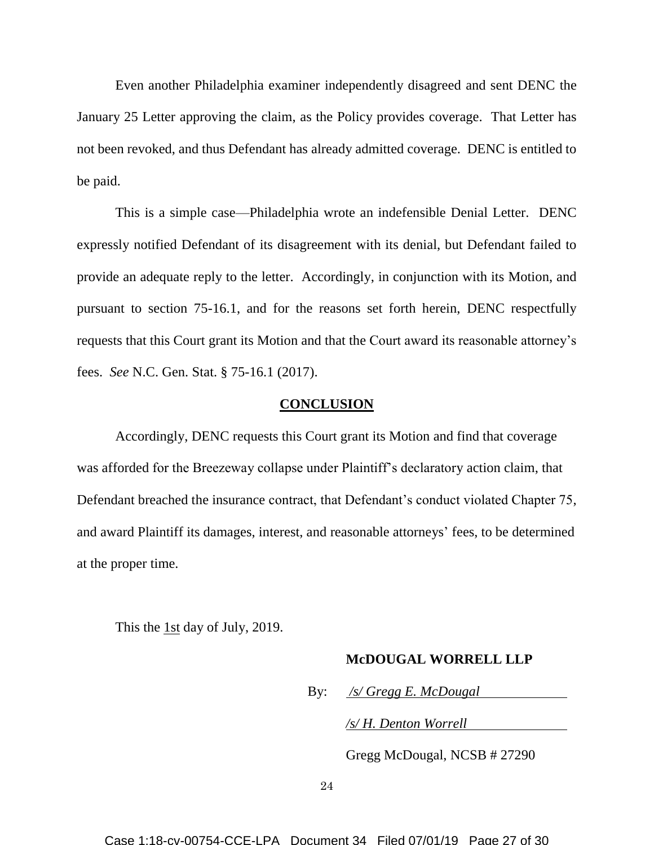Even another Philadelphia examiner independently disagreed and sent DENC the January 25 Letter approving the claim, as the Policy provides coverage. That Letter has not been revoked, and thus Defendant has already admitted coverage. DENC is entitled to be paid.

This is a simple case—Philadelphia wrote an indefensible Denial Letter. DENC expressly notified Defendant of its disagreement with its denial, but Defendant failed to provide an adequate reply to the letter. Accordingly, in conjunction with its Motion, and pursuant to section 75-16.1, and for the reasons set forth herein, DENC respectfully requests that this Court grant its Motion and that the Court award its reasonable attorney's fees. *See* N.C. Gen. Stat. § 75-16.1 (2017).

### **CONCLUSION**

Accordingly, DENC requests this Court grant its Motion and find that coverage was afforded for the Breezeway collapse under Plaintiff's declaratory action claim, that Defendant breached the insurance contract, that Defendant's conduct violated Chapter 75, and award Plaintiff its damages, interest, and reasonable attorneys' fees, to be determined at the proper time.

This the 1st day of July, 2019.

### **McDOUGAL WORRELL LLP**

By: */s/ Gregg E. McDougal*

*/s/ H. Denton Worrell*

Gregg McDougal, NCSB # 27290

24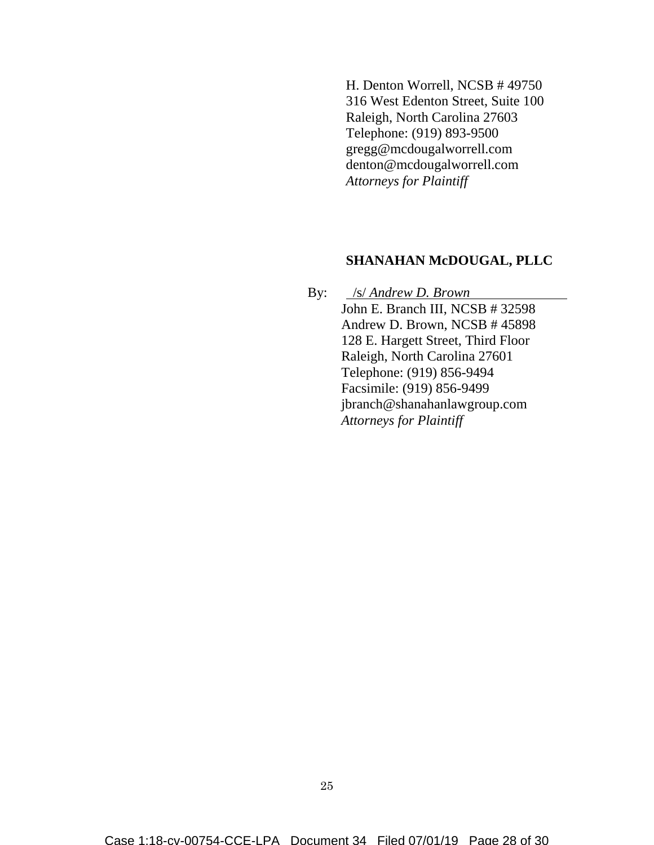H. Denton Worrell, NCSB # 49750 316 West Edenton Street, Suite 100 Raleigh, North Carolina 27603 Telephone: (919) 893-9500 gregg@mcdougalworrell.com denton@mcdougalworrell.com *Attorneys for Plaintiff*

### **SHANAHAN McDOUGAL, PLLC**

By: /s/ *Andrew D. Brown* John E. Branch III, NCSB # 32598 Andrew D. Brown, NCSB # 45898 128 E. Hargett Street, Third Floor Raleigh, North Carolina 27601 Telephone: (919) 856-9494 Facsimile: (919) 856-9499 jbranch@shanahanlawgroup.com *Attorneys for Plaintiff*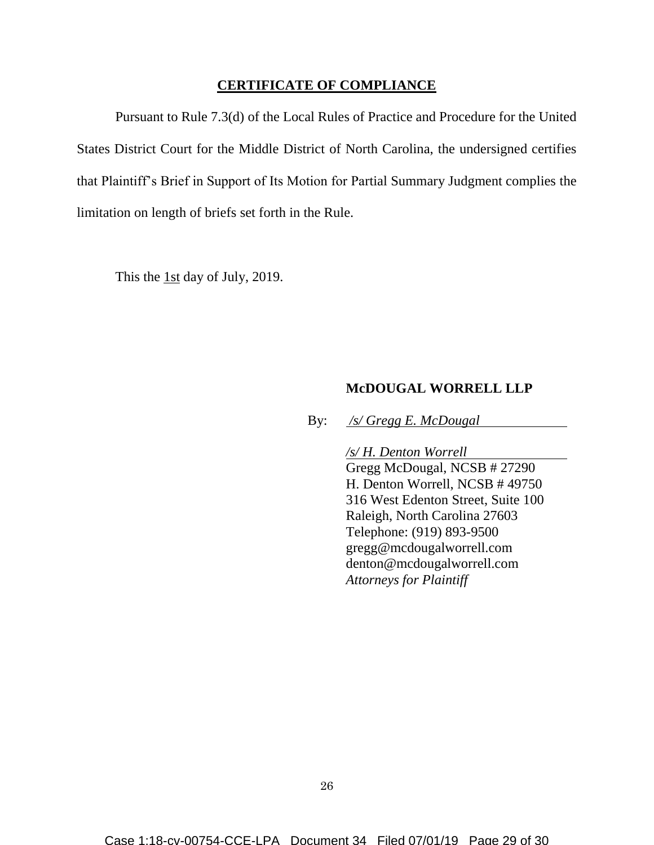## **CERTIFICATE OF COMPLIANCE**

Pursuant to Rule 7.3(d) of the Local Rules of Practice and Procedure for the United States District Court for the Middle District of North Carolina, the undersigned certifies that Plaintiff's Brief in Support of Its Motion for Partial Summary Judgment complies the limitation on length of briefs set forth in the Rule.

This the 1st day of July, 2019.

### **McDOUGAL WORRELL LLP**

By: */s/ Gregg E. McDougal*

*/s/ H. Denton Worrell* Gregg McDougal, NCSB # 27290 H. Denton Worrell, NCSB # 49750 316 West Edenton Street, Suite 100 Raleigh, North Carolina 27603 Telephone: (919) 893-9500 gregg@mcdougalworrell.com denton@mcdougalworrell.com *Attorneys for Plaintiff*